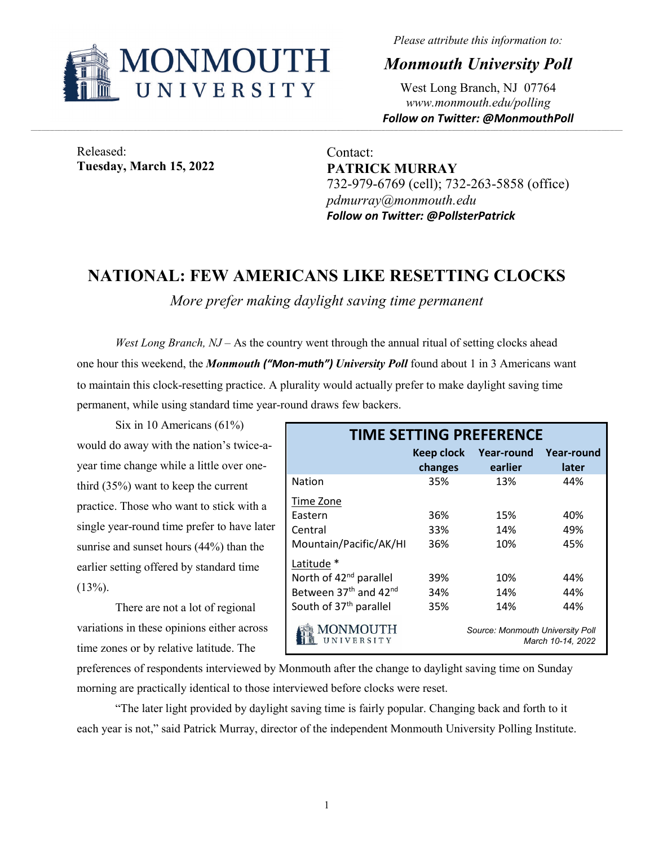

*Please attribute this information to:*

*Monmouth University Poll*

West Long Branch, NJ 07764 *www.monmouth.edu/polling Follow on Twitter: @MonmouthPoll*

Released: **Tuesday, March 15, 2022**

Contact: **PATRICK MURRAY** 732-979-6769 (cell); 732-263-5858 (office) *pdmurray@monmouth.edu Follow on Twitter: @PollsterPatrick*

## **NATIONAL: FEW AMERICANS LIKE RESETTING CLOCKS**

*More prefer making daylight saving time permanent*

*West Long Branch, NJ* – As the country went through the annual ritual of setting clocks ahead one hour this weekend, the *Monmouth ("Mon-muth") University Poll* found about 1 in 3 Americans want to maintain this clock-resetting practice. A plurality would actually prefer to make daylight saving time permanent, while using standard time year-round draws few backers.

Six in 10 Americans (61%) would do away with the nation's twice-ayear time change while a little over onethird (35%) want to keep the current practice. Those who want to stick with a single year-round time prefer to have later sunrise and sunset hours (44%) than the earlier setting offered by standard time  $(13\%)$ .

There are not a lot of regional variations in these opinions either across time zones or by relative latitude. The

| <b>TIME SETTING PREFERENCE</b>                |                   |                                  |                   |  |  |  |  |  |  |
|-----------------------------------------------|-------------------|----------------------------------|-------------------|--|--|--|--|--|--|
|                                               | <b>Keep clock</b> | Year-round                       | <b>Year-round</b> |  |  |  |  |  |  |
|                                               | changes           | earlier                          | later             |  |  |  |  |  |  |
| <b>Nation</b>                                 | 35%               | 13%                              | 44%               |  |  |  |  |  |  |
| Time Zone                                     |                   |                                  |                   |  |  |  |  |  |  |
| Eastern                                       | 36%               | 15%                              | 40%               |  |  |  |  |  |  |
| Central                                       | 33%               | 14%                              | 49%               |  |  |  |  |  |  |
| Mountain/Pacific/AK/HI                        | 36%               | 10%                              | 45%               |  |  |  |  |  |  |
| Latitude *                                    |                   |                                  |                   |  |  |  |  |  |  |
| North of 42 <sup>nd</sup> parallel            | 39%               | 10%                              | 44%               |  |  |  |  |  |  |
| Between 37 <sup>th</sup> and 42 <sup>nd</sup> | 34%               | 14%                              | 44%               |  |  |  |  |  |  |
| South of 37 <sup>th</sup> parallel            | 35%               | 14%                              | 44%               |  |  |  |  |  |  |
| MONMOUTH<br>NIVERSITY                         |                   | Source: Monmouth University Poll | March 10-14, 2022 |  |  |  |  |  |  |

preferences of respondents interviewed by Monmouth after the change to daylight saving time on Sunday morning are practically identical to those interviewed before clocks were reset.

"The later light provided by daylight saving time is fairly popular. Changing back and forth to it each year is not," said Patrick Murray, director of the independent Monmouth University Polling Institute.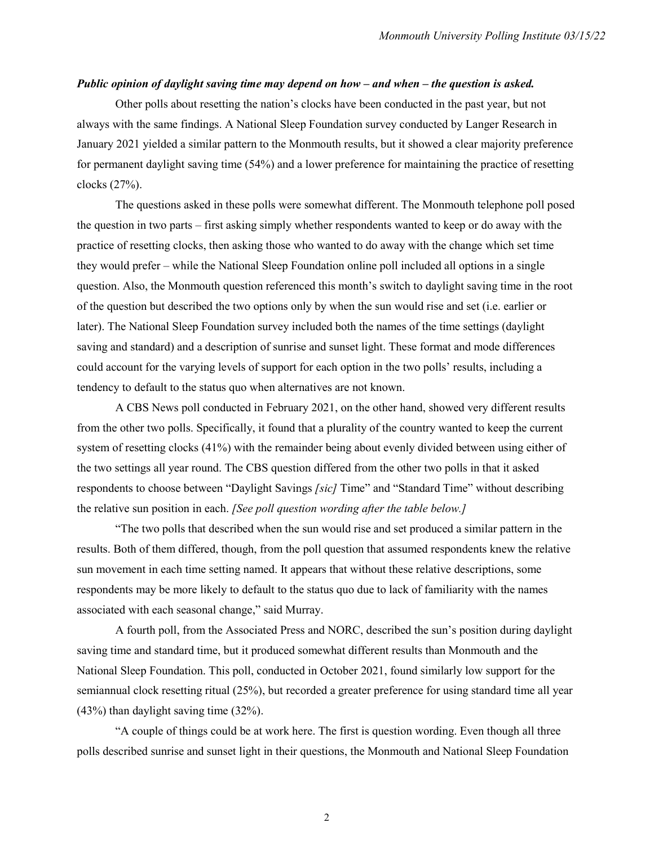## *Public opinion of daylight saving time may depend on how – and when – the question is asked.*

Other polls about resetting the nation's clocks have been conducted in the past year, but not always with the same findings. A National Sleep Foundation survey conducted by Langer Research in January 2021 yielded a similar pattern to the Monmouth results, but it showed a clear majority preference for permanent daylight saving time (54%) and a lower preference for maintaining the practice of resetting clocks (27%).

The questions asked in these polls were somewhat different. The Monmouth telephone poll posed the question in two parts – first asking simply whether respondents wanted to keep or do away with the practice of resetting clocks, then asking those who wanted to do away with the change which set time they would prefer – while the National Sleep Foundation online poll included all options in a single question. Also, the Monmouth question referenced this month's switch to daylight saving time in the root of the question but described the two options only by when the sun would rise and set (i.e. earlier or later). The National Sleep Foundation survey included both the names of the time settings (daylight saving and standard) and a description of sunrise and sunset light. These format and mode differences could account for the varying levels of support for each option in the two polls' results, including a tendency to default to the status quo when alternatives are not known.

A CBS News poll conducted in February 2021, on the other hand, showed very different results from the other two polls. Specifically, it found that a plurality of the country wanted to keep the current system of resetting clocks (41%) with the remainder being about evenly divided between using either of the two settings all year round. The CBS question differed from the other two polls in that it asked respondents to choose between "Daylight Savings *[sic]* Time" and "Standard Time" without describing the relative sun position in each. *[See poll question wording after the table below.]*

"The two polls that described when the sun would rise and set produced a similar pattern in the results. Both of them differed, though, from the poll question that assumed respondents knew the relative sun movement in each time setting named. It appears that without these relative descriptions, some respondents may be more likely to default to the status quo due to lack of familiarity with the names associated with each seasonal change," said Murray.

A fourth poll, from the Associated Press and NORC, described the sun's position during daylight saving time and standard time, but it produced somewhat different results than Monmouth and the National Sleep Foundation. This poll, conducted in October 2021, found similarly low support for the semiannual clock resetting ritual (25%), but recorded a greater preference for using standard time all year (43%) than daylight saving time (32%).

"A couple of things could be at work here. The first is question wording. Even though all three polls described sunrise and sunset light in their questions, the Monmouth and National Sleep Foundation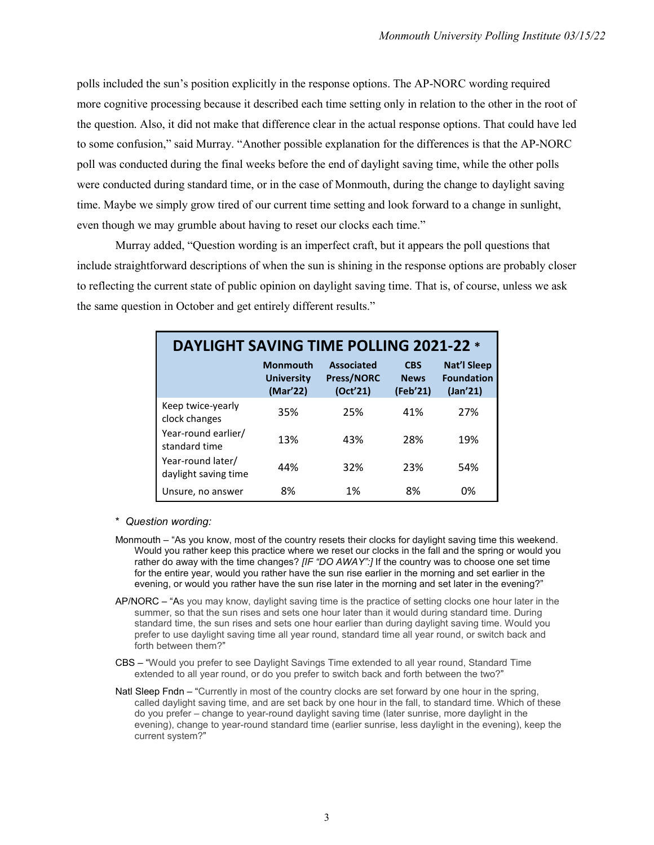polls included the sun's position explicitly in the response options. The AP-NORC wording required more cognitive processing because it described each time setting only in relation to the other in the root of the question. Also, it did not make that difference clear in the actual response options. That could have led to some confusion," said Murray. "Another possible explanation for the differences is that the AP-NORC poll was conducted during the final weeks before the end of daylight saving time, while the other polls were conducted during standard time, or in the case of Monmouth, during the change to daylight saving time. Maybe we simply grow tired of our current time setting and look forward to a change in sunlight, even though we may grumble about having to reset our clocks each time."

Murray added, "Question wording is an imperfect craft, but it appears the poll questions that include straightforward descriptions of when the sun is shining in the response options are probably closer to reflecting the current state of public opinion on daylight saving time. That is, of course, unless we ask the same question in October and get entirely different results."

| <b>DAYLIGHT SAVING TIME POLLING 2021-22 *</b> |                                                  |                                                    |                                       |                                                     |  |  |  |  |  |  |
|-----------------------------------------------|--------------------------------------------------|----------------------------------------------------|---------------------------------------|-----------------------------------------------------|--|--|--|--|--|--|
|                                               | <b>Monmouth</b><br><b>University</b><br>(Mar'22) | <b>Associated</b><br><b>Press/NORC</b><br>(Oct'21) | <b>CBS</b><br><b>News</b><br>(Feb'21) | <b>Nat'l Sleep</b><br><b>Foundation</b><br>(Jan'21) |  |  |  |  |  |  |
| Keep twice-yearly<br>clock changes            | 35%                                              | 25%                                                | 41%                                   | 27%                                                 |  |  |  |  |  |  |
| Year-round earlier/<br>standard time          | 13%                                              | 43%                                                | 28%                                   | 19%                                                 |  |  |  |  |  |  |
| Year-round later/<br>daylight saving time     | 44%                                              | 32%                                                | 23%                                   | 54%                                                 |  |  |  |  |  |  |
| Unsure, no answer                             | 8%                                               | 1%                                                 | 8%                                    | 0%                                                  |  |  |  |  |  |  |

\* *Question wording:*

- Monmouth "As you know, most of the country resets their clocks for daylight saving time this weekend. Would you rather keep this practice where we reset our clocks in the fall and the spring or would you rather do away with the time changes? *[IF "DO AWAY":]* If the country was to choose one set time for the entire year, would you rather have the sun rise earlier in the morning and set earlier in the evening, or would you rather have the sun rise later in the morning and set later in the evening?"
- AP/NORC "As you may know, daylight saving time is the practice of setting clocks one hour later in the summer, so that the sun rises and sets one hour later than it would during standard time. During standard time, the sun rises and sets one hour earlier than during daylight saving time. Would you prefer to use daylight saving time all year round, standard time all year round, or switch back and forth between them?"
- CBS "Would you prefer to see Daylight Savings Time extended to all year round, Standard Time extended to all year round, or do you prefer to switch back and forth between the two?"
- Natl Sleep Fndn "Currently in most of the country clocks are set forward by one hour in the spring, called daylight saving time, and are set back by one hour in the fall, to standard time. Which of these do you prefer – change to year-round daylight saving time (later sunrise, more daylight in the evening), change to year-round standard time (earlier sunrise, less daylight in the evening), keep the current system?"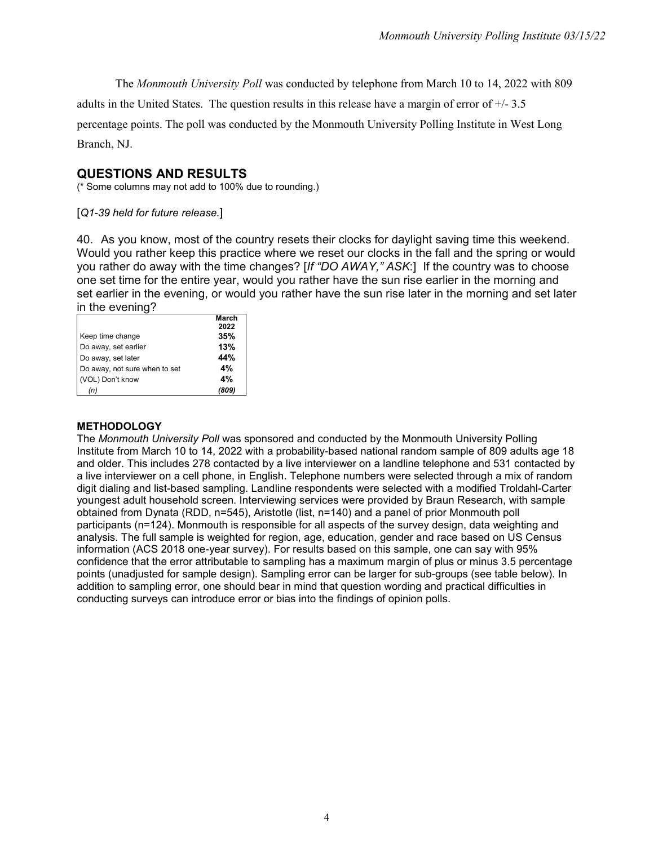The *Monmouth University Poll* was conducted by telephone from March 10 to 14, 2022 with 809

adults in the United States. The question results in this release have a margin of error of  $+/- 3.5$ 

percentage points. The poll was conducted by the Monmouth University Polling Institute in West Long Branch, NJ.

## **QUESTIONS AND RESULTS**

(\* Some columns may not add to 100% due to rounding.)

[*Q1-39 held for future release.*]

40. As you know, most of the country resets their clocks for daylight saving time this weekend. Would you rather keep this practice where we reset our clocks in the fall and the spring or would you rather do away with the time changes? [*If "DO AWAY," ASK*:] If the country was to choose one set time for the entire year, would you rather have the sun rise earlier in the morning and set earlier in the evening, or would you rather have the sun rise later in the morning and set later in the evening?

|                               | March |
|-------------------------------|-------|
|                               | 2022  |
| Keep time change              | 35%   |
| Do away, set earlier          | 13%   |
| Do away, set later            | 44%   |
| Do away, not sure when to set | 4%    |
| (VOL) Don't know              | 4%    |
|                               |       |

## **METHODOLOGY**

The *Monmouth University Poll* was sponsored and conducted by the Monmouth University Polling Institute from March 10 to 14, 2022 with a probability-based national random sample of 809 adults age 18 and older. This includes 278 contacted by a live interviewer on a landline telephone and 531 contacted by a live interviewer on a cell phone, in English. Telephone numbers were selected through a mix of random digit dialing and list-based sampling. Landline respondents were selected with a modified Troldahl-Carter youngest adult household screen. Interviewing services were provided by Braun Research, with sample obtained from Dynata (RDD, n=545), Aristotle (list, n=140) and a panel of prior Monmouth poll participants (n=124). Monmouth is responsible for all aspects of the survey design, data weighting and analysis. The full sample is weighted for region, age, education, gender and race based on US Census information (ACS 2018 one-year survey). For results based on this sample, one can say with 95% confidence that the error attributable to sampling has a maximum margin of plus or minus 3.5 percentage points (unadjusted for sample design). Sampling error can be larger for sub-groups (see table below). In addition to sampling error, one should bear in mind that question wording and practical difficulties in conducting surveys can introduce error or bias into the findings of opinion polls.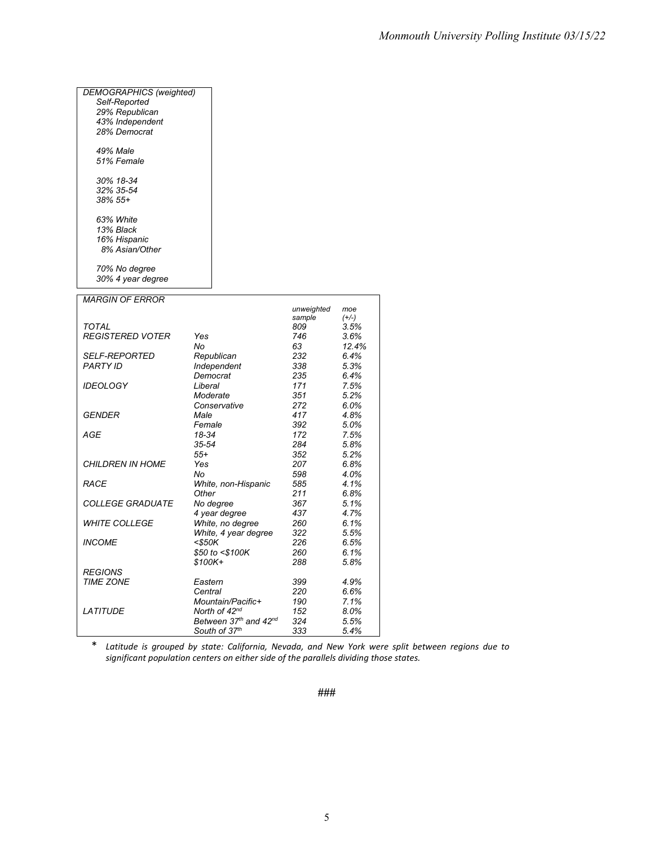| <b>DEMOGRAPHICS</b> (weighted) |                           |            |              |
|--------------------------------|---------------------------|------------|--------------|
| Self-Reported                  |                           |            |              |
| 29% Republican                 |                           |            |              |
| 43% Independent                |                           |            |              |
| 28% Democrat                   |                           |            |              |
|                                |                           |            |              |
| 49% Male                       |                           |            |              |
| 51% Female                     |                           |            |              |
|                                |                           |            |              |
| 30% 18-34                      |                           |            |              |
| 32% 35-54                      |                           |            |              |
| 38% 55+                        |                           |            |              |
|                                |                           |            |              |
| 63% White                      |                           |            |              |
| 13% Black                      |                           |            |              |
| 16% Hispanic                   |                           |            |              |
| 8% Asian/Other                 |                           |            |              |
|                                |                           |            |              |
| 70% No degree                  |                           |            |              |
| 30% 4 year degree              |                           |            |              |
|                                |                           |            |              |
| <b>MARGIN OF ERROR</b>         |                           |            |              |
|                                |                           | unweighted | moe          |
|                                |                           | sample     | $(+/-)$      |
| <b>TOTAL</b>                   |                           | 809        | 3.5%         |
| <b>REGISTERED VOTER</b>        | Yes                       | 746        | 3.6%         |
|                                | No                        | 63         | 12.4%        |
| <b>SELF-REPORTED</b>           | Republican                | 232        | 6.4%         |
| <b>PARTY ID</b>                | Independent               | 338        | 5.3%         |
|                                | Democrat                  | 235        | 6.4%         |
| <b>IDEOLOGY</b>                | Liberal                   | 171        | 7.5%         |
|                                | Moderate                  | 351        | 5.2%         |
|                                | Conservative              | 272        | 6.0%         |
| <b>GENDER</b>                  | Male                      | 417        | 4.8%         |
|                                | Female                    | 392        |              |
| AGE                            | 18-34                     | 172        | 5.0%<br>7.5% |
|                                | $35 - 54$                 | 284        |              |
|                                | $55+$                     | 352        | 5.8%<br>5.2% |
|                                |                           |            |              |
| <b>CHILDREN IN HOME</b>        | Yes                       | 207        | 6.8%         |
|                                | No                        | 598        | 4.0%         |
| RACE                           | White, non-Hispanic       | 585        | 4.1%         |
|                                | Other                     | 211        | 6.8%         |
| <b>COLLEGE GRADUATE</b>        | No degree                 | 367        | 5.1%         |
|                                | 4 year degree             | 437        | 4.7%         |
| <b>WHITE COLLEGE</b>           | White, no degree          | 260        | 6.1%         |
|                                | White, 4 year degree      | 322        | 5.5%         |
| <b>INCOME</b>                  | $<$ \$50K                 | 226        | 6.5%         |
|                                | \$50 to <\$100K           | 260        | 6.1%         |
|                                | \$100K+                   | 288        | 5.8%         |
| <b>REGIONS</b>                 |                           |            |              |
| <b>TIME ZONE</b>               | Eastern                   | 399        | 4.9%         |
|                                | Central                   | 220        | 6.6%         |
|                                | Mountain/Pacific+         | 190        | 7.1%         |
| <b>LATITUDE</b>                | North of 42 <sup>nd</sup> | 152        | 8.0%         |
|                                | Between 37th and 42nd     | 324        | 5.5%         |
|                                | South of 37th             | 333        | 5.4%         |

\* *Latitude is grouped by state: California, Nevada, and New York were split between regions due to significant population centers on either side of the parallels dividing those states.*

**###**